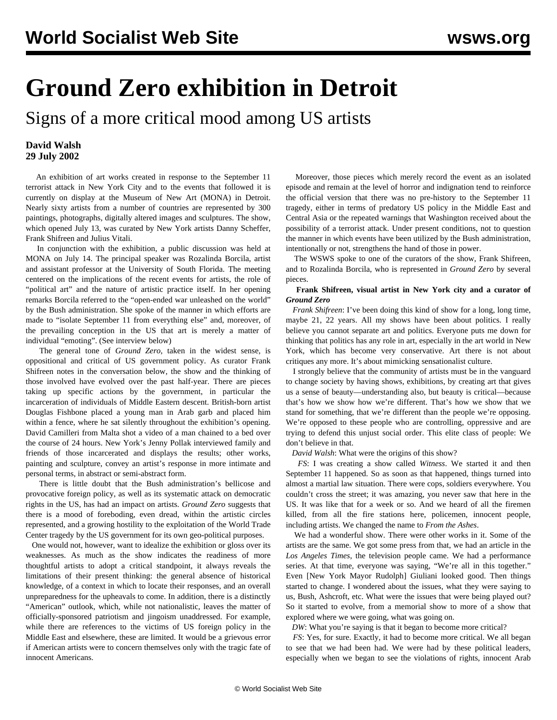# **Ground Zero exhibition in Detroit**

Signs of a more critical mood among US artists

### **David Walsh 29 July 2002**

 An exhibition of art works created in response to the September 11 terrorist attack in New York City and to the events that followed it is currently on display at the Museum of New Art (MONA) in Detroit. Nearly sixty artists from a number of countries are represented by 300 paintings, photographs, digitally altered images and sculptures. The show, which opened July 13, was curated by New York artists Danny Scheffer, Frank Shifreen and Julius Vitali.

In conjunction with the exhibition, a public discussion was held at MONA on July 14. The principal speaker was Rozalinda Borcila, artist and assistant professor at the University of South Florida. The meeting centered on the implications of the recent events for artists, the role of "political art" and the nature of artistic practice itself. In her opening remarks Borcila referred to the "open-ended war unleashed on the world" by the Bush administration. She spoke of the manner in which efforts are made to "isolate September 11 from everything else" and, moreover, of the prevailing conception in the US that art is merely a matter of individual "emoting". (See interview below)

 The general tone of *Ground Zero*, taken in the widest sense, is oppositional and critical of US government policy. As curator Frank Shifreen notes in the conversation below, the show and the thinking of those involved have evolved over the past half-year. There are pieces taking up specific actions by the government, in particular the incarceration of individuals of Middle Eastern descent. British-born artist Douglas Fishbone placed a young man in Arab garb and placed him within a fence, where he sat silently throughout the exhibition's opening. David Camilleri from Malta shot a video of a man chained to a bed over the course of 24 hours. New York's Jenny Pollak interviewed family and friends of those incarcerated and displays the results; other works, painting and sculpture, convey an artist's response in more intimate and personal terms, in abstract or semi-abstract form.

 rights in the US, has had an impact on artists. *Ground Zero* suggests that There is little doubt that the Bush administration's bellicose and provocative foreign policy, as well as its systematic attack on democratic there is a mood of foreboding, even dread, within the artistic circles represented, and a growing hostility to the exploitation of the World Trade Center tragedy by the US government for its own geo-political purposes.

 One would not, however, want to idealize the exhibition or gloss over its weaknesses. As much as the show indicates the readiness of more thoughtful artists to adopt a critical standpoint, it always reveals the limitations of their present thinking: the general absence of historical knowledge, of a context in which to locate their responses, and an overall unpreparedness for the upheavals to come. In addition, there is a distinctly "American" outlook, which, while not nationalistic, leaves the matter of officially-sponsored patriotism and jingoism unaddressed. For example, while there are references to the victims of US foreign policy in the Middle East and elsewhere, these are limited. It would be a grievous error if American artists were to concern themselves only with the tragic fate of innocent Americans.

 Moreover, those pieces which merely record the event as an isolated episode and remain at the level of horror and indignation tend to reinforce the official version that there was no pre-history to the September 11 tragedy, either in terms of predatory US policy in the Middle East and Central Asia or the repeated warnings that Washington received about the possibility of a terrorist attack. Under present conditions, not to question the manner in which events have been utilized by the Bush administration, intentionally or not, strengthens the hand of those in power.

 The WSWS spoke to one of the curators of the show, Frank Shifreen, and to Rozalinda Borcila, who is represented in *Ground Zero* by several pieces.

#### **Frank Shifreen, visual artist in New York city and a curator of** *Ground Zero*

*Frank Shifreen*: I've been doing this kind of show for a long, long time, maybe 21, 22 years. All my shows have been about politics. I really believe you cannot separate art and politics. Everyone puts me down for thinking that politics has any role in art, especially in the art world in New York, which has become very conservative. Art there is not about critiques any more. It's about mimicking sensationalist culture.

 I strongly believe that the community of artists must be in the vanguard to change society by having shows, exhibitions, by creating art that gives us a sense of beauty—understanding also, but beauty is critical—because that's how we show how we're different. That's how we show that we stand for something, that we're different than the people we're opposing. We're opposed to these people who are controlling, oppressive and are trying to defend this unjust social order. This elite class of people: We don't believe in that.

*David Walsh*: What were the origins of this show?

 *FS*: I was creating a show called *Witness*. We started it and then September 11 happened. So as soon as that happened, things turned into almost a martial law situation. There were cops, soldiers everywhere. You couldn't cross the street; it was amazing, you never saw that here in the US. It was like that for a week or so. And we heard of all the firemen killed, from all the fire stations here, policemen, innocent people, including artists. We changed the name to *From the Ashes*.

explored where we were going, what was going on.<br>DW: What you're going is that it becan to become We had a wonderful show. There were other works in it. Some of the artists are the same. We got some press from that, we had an article in the *Los Angeles Times*, the television people came. We had a performance series. At that time, everyone was saying, "We're all in this together." Even [New York Mayor Rudolph] Giuliani looked good. Then things started to change. I wondered about the issues, what they were saying to us, Bush, Ashcroft, etc. What were the issues that were being played out? So it started to evolve, from a memorial show to more of a show that

*DW*: What you're saying is that it began to become more critical?

 *FS*: Yes, for sure. Exactly, it had to become more critical. We all began to see that we had been had. We were had by these political leaders, especially when we began to see the violations of rights, innocent Arab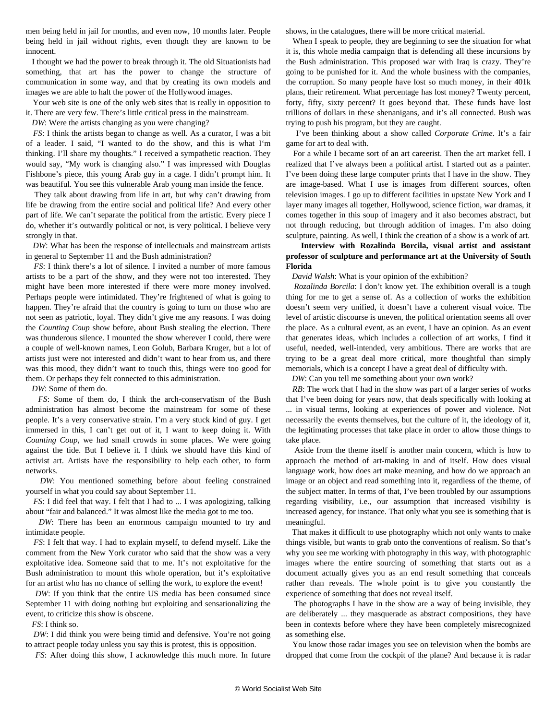men being held in jail for months, and even now, 10 months later. People being held in jail without rights, even though they are known to be innocent.

 I thought we had the power to break through it. The old Situationists had something, that art has the power to change the structure of communication in some way, and that by creating its own models and images we are able to halt the power of the Hollywood images.

 Your web site is one of the only web sites that is really in opposition to it. There are very few. There's little critical press in the mainstream.

*DW*: Were the artists changing as you were changing?

*FS*: I think the artists began to change as well. As a curator, I was a bit of a leader. I said, "I wanted to do the show, and this is what I'm thinking. I'll share my thoughts." I received a sympathetic reaction. They would say, "My work is changing also." I was impressed with Douglas Fishbone's piece, this young Arab guy in a cage. I didn't prompt him. It was beautiful. You see this vulnerable Arab young man inside the fence.

 They talk about drawing from life in art, but why can't drawing from life be drawing from the entire social and political life? And every other part of life. We can't separate the political from the artistic. Every piece I do, whether it's outwardly political or not, is very political. I believe very strongly in that.

 *DW*: What has been the response of intellectuals and mainstream artists in general to September 11 and the Bush administration?

*FS*: I think there's a lot of silence. I invited a number of more famous artists to be a part of the show, and they were not too interested. They might have been more interested if there were more money involved. Perhaps people were intimidated. They're frightened of what is going to happen. They're afraid that the country is going to turn on those who are not seen as patriotic, loyal. They didn't give me any reasons. I was doing the *Counting Coup* show before, about Bush stealing the election. There was thunderous silence. I mounted the show wherever I could, there were a couple of well-known names, Leon Golub, Barbara Kruger, but a lot of artists just were not interested and didn't want to hear from us, and there was this mood, they didn't want to touch this, things were too good for them. Or perhaps they felt connected to this administration.

*DW*: Some of them do.

 *FS*: Some of them do, I think the arch-conservatism of the Bush administration has almost become the mainstream for some of these people. It's a very conservative strain. I'm a very stuck kind of guy. I get immersed in this, I can't get out of it, I want to keep doing it. With *Counting Coup*, we had small crowds in some places. We were going against the tide. But I believe it. I think we should have this kind of activist art. Artists have the responsibility to help each other, to form networks.

 *DW*: You mentioned something before about feeling constrained yourself in what you could say about September 11.

 *FS*: I did feel that way. I felt that I had to ... I was apologizing, talking about "fair and balanced." It was almost like the media got to me too.

 *DW*: There has been an enormous campaign mounted to try and intimidate people.

 *FS*: I felt that way. I had to explain myself, to defend myself. Like the comment from the New York curator who said that the show was a very exploitative idea. Someone said that to me. It's not exploitative for the Bush administration to mount this whole operation, but it's exploitative for an artist who has no chance of selling the work, to explore the event!

 *DW*: If you think that the entire US media has been consumed since September 11 with doing nothing but exploiting and sensationalizing the event, to criticize this show is obscene.

*FS*: I think so.

 *DW*: I did think you were being timid and defensive. You're not going to attract people today unless you say this is protest, this is opposition.

*FS*: After doing this show, I acknowledge this much more. In future

shows, in the catalogues, there will be more critical material.

 When I speak to people, they are beginning to see the situation for what it is, this whole media campaign that is defending all these incursions by the Bush administration. This proposed war with Iraq is crazy. They're going to be punished for it. And the whole business with the companies, the corruption. So many people have lost so much money, in their 401k plans, their retirement. What percentage has lost money? Twenty percent, forty, fifty, sixty percent? It goes beyond that. These funds have lost trillions of dollars in these shenanigans, and it's all connected. Bush was trying to push his program, but they are caught.

 I've been thinking about a show called *Corporate Crime*. It's a fair game for art to deal with.

 For a while I became sort of an art careerist. Then the art market fell. I realized that I've always been a political artist. I started out as a painter. I've been doing these large computer prints that I have in the show. They are image-based. What I use is images from different sources, often television images. I go up to different facilities in upstate New York and I layer many images all together, Hollywood, science fiction, war dramas, it comes together in this soup of imagery and it also becomes abstract, but not through reducing, but through addition of images. I'm also doing sculpture, painting. As well, I think the creation of a show is a work of art.

#### **Interview with Rozalinda Borcila, visual artist and assistant professor of sculpture and performance art at the University of South Florida**

*David Walsh*: What is your opinion of the exhibition?

 *Rozalinda Borcila*: I don't know yet. The exhibition overall is a tough thing for me to get a sense of. As a collection of works the exhibition doesn't seem very unified, it doesn't have a coherent visual voice. The level of artistic discourse is uneven, the political orientation seems all over the place. As a cultural event, as an event, I have an opinion. As an event that generates ideas, which includes a collection of art works, I find it useful, needed, well-intended, very ambitious. There are works that are trying to be a great deal more critical, more thoughtful than simply memorials, which is a concept I have a great deal of difficulty with.

*DW*: Can you tell me something about your own work?

*RB*: The work that I had in the show was part of a larger series of works that I've been doing for years now, that deals specifically with looking at ... in visual terms, looking at experiences of power and violence. Not necessarily the events themselves, but the culture of it, the ideology of it, the legitimating processes that take place in order to allow those things to take place.

 Aside from the theme itself is another main concern, which is how to approach the method of art-making in and of itself. How does visual language work, how does art make meaning, and how do we approach an image or an object and read something into it, regardless of the theme, of the subject matter. In terms of that, I've been troubled by our assumptions regarding visibility, i.e., our assumption that increased visibility is increased agency, for instance. That only what you see is something that is meaningful.

 That makes it difficult to use photography which not only wants to make things visible, but wants to grab onto the conventions of realism. So that's why you see me working with photography in this way, with photographic images where the entire sourcing of something that starts out as a document actually gives you as an end result something that conceals rather than reveals. The whole point is to give you constantly the experience of something that does not reveal itself.

 The photographs I have in the show are a way of being invisible, they are deliberately ... they masquerade as abstract compositions, they have been in contexts before where they have been completely misrecognized as something else.

 You know those radar images you see on television when the bombs are dropped that come from the cockpit of the plane? And because it is radar